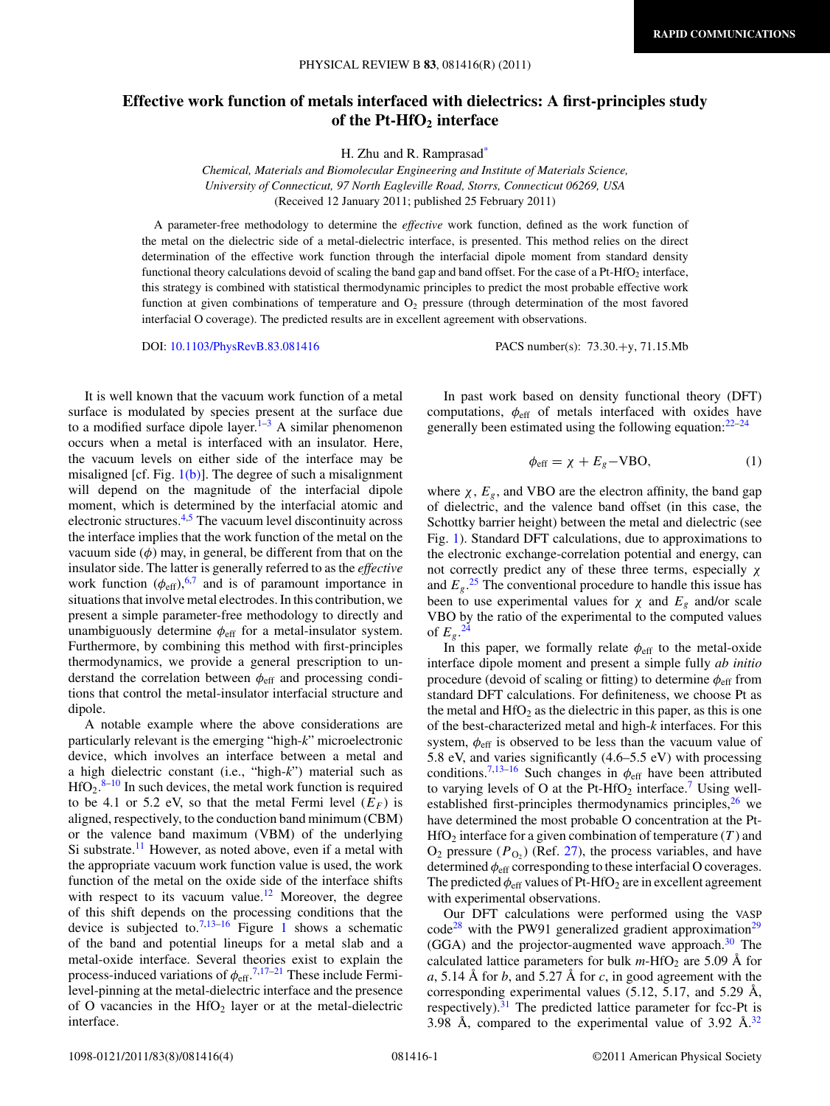## **Effective work function of metals interfaced with dielectrics: A first-principles study of the Pt-HfO2 interface**

H. Zhu and R. Ramprasa[d\\*](#page-3-0)

*Chemical, Materials and Biomolecular Engineering and Institute of Materials Science, University of Connecticut, 97 North Eagleville Road, Storrs, Connecticut 06269, USA* (Received 12 January 2011; published 25 February 2011)

A parameter-free methodology to determine the *effective* work function, defined as the work function of the metal on the dielectric side of a metal-dielectric interface, is presented. This method relies on the direct determination of the effective work function through the interfacial dipole moment from standard density functional theory calculations devoid of scaling the band gap and band offset. For the case of a Pt-HfO<sub>2</sub> interface, this strategy is combined with statistical thermodynamic principles to predict the most probable effective work function at given combinations of temperature and  $O<sub>2</sub>$  pressure (through determination of the most favored interfacial O coverage). The predicted results are in excellent agreement with observations.

DOI: [10.1103/PhysRevB.83.081416](http://dx.doi.org/10.1103/PhysRevB.83.081416) PACS number(s): 73*.*30*.*+y, 71*.*15*.*Mb

It is well known that the vacuum work function of a metal surface is modulated by species present at the surface due to a modified surface dipole layer. $1-3$  A similar phenomenon occurs when a metal is interfaced with an insulator. Here, the vacuum levels on either side of the interface may be misaligned [cf. Fig.  $1(b)$ ]. The degree of such a misalignment will depend on the magnitude of the interfacial dipole moment, which is determined by the interfacial atomic and electronic structures.[4,5](#page-3-0) The vacuum level discontinuity across the interface implies that the work function of the metal on the vacuum side  $(\phi)$  may, in general, be different from that on the insulator side. The latter is generally referred to as the *effective* work function  $(\phi_{\text{eff}})_0^{6,7}$  $(\phi_{\text{eff}})_0^{6,7}$  $(\phi_{\text{eff}})_0^{6,7}$  and is of paramount importance in situations that involve metal electrodes. In this contribution, we present a simple parameter-free methodology to directly and unambiguously determine  $\phi_{\text{eff}}$  for a metal-insulator system. Furthermore, by combining this method with first-principles thermodynamics, we provide a general prescription to understand the correlation between  $\phi_{\text{eff}}$  and processing conditions that control the metal-insulator interfacial structure and dipole.

A notable example where the above considerations are particularly relevant is the emerging "high-*k*" microelectronic device, which involves an interface between a metal and a high dielectric constant (i.e., "high-*k*") material such as  $HfO<sub>2</sub>.<sup>8-10</sup>$  In such devices, the metal work function is required to be 4.1 or 5.2 eV, so that the metal Fermi level  $(E_F)$  is aligned, respectively, to the conduction band minimum (CBM) or the valence band maximum (VBM) of the underlying Si substrate.<sup>[11](#page-3-0)</sup> However, as noted above, even if a metal with the appropriate vacuum work function value is used, the work function of the metal on the oxide side of the interface shifts with respect to its vacuum value.<sup>12</sup> Moreover, the degree of this shift depends on the processing conditions that the device is subjected to.<sup>[7,13–16](#page-3-0)</sup> Figure [1](#page-1-0) shows a schematic of the band and potential lineups for a metal slab and a metal-oxide interface. Several theories exist to explain the process-induced variations of *φ*eff. [7,17–21](#page-3-0) These include Fermilevel-pinning at the metal-dielectric interface and the presence of O vacancies in the  $HfO<sub>2</sub>$  layer or at the metal-dielectric interface.

In past work based on density functional theory (DFT) computations,  $\phi_{\text{eff}}$  of metals interfaced with oxides have generally been estimated using the following equation: $22-24$ 

$$
\phi_{\rm eff} = \chi + E_g - \text{VBO},\tag{1}
$$

where  $\chi$ ,  $E_g$ , and VBO are the electron affinity, the band gap of dielectric, and the valence band offset (in this case, the Schottky barrier height) between the metal and dielectric (see Fig. [1\)](#page-1-0). Standard DFT calculations, due to approximations to the electronic exchange-correlation potential and energy, can not correctly predict any of these three terms, especially *χ* and  $E_g$ .<sup>[25](#page-3-0)</sup> The conventional procedure to handle this issue has been to use experimental values for  $\chi$  and  $E_g$  and/or scale VBO by the ratio of the experimental to the computed values of  $E_g$ .<sup>[24](#page-3-0)</sup>

In this paper, we formally relate  $\phi_{\text{eff}}$  to the metal-oxide interface dipole moment and present a simple fully *ab initio* procedure (devoid of scaling or fitting) to determine  $\phi_{\text{eff}}$  from standard DFT calculations. For definiteness, we choose Pt as the metal and  $\text{HfO}_2$  as the dielectric in this paper, as this is one of the best-characterized metal and high-*k* interfaces. For this system,  $\phi_{\text{eff}}$  is observed to be less than the vacuum value of 5.8 eV, and varies significantly (4.6–5.5 eV) with processing conditions.<sup>7,13–16</sup> Such changes in  $\phi_{\text{eff}}$  have been attributed to varying levels of O at the Pt-HfO<sub>2</sub> interface.<sup>7</sup> Using wellestablished first-principles thermodynamics principles, $26$  we have determined the most probable O concentration at the Pt- $HfO<sub>2</sub>$  interface for a given combination of temperature  $(T)$  and  $O_2$  pressure  $(P<sub>O<sub>2</sub></sub>)$  (Ref. [27\)](#page-3-0), the process variables, and have determined *φ*eff corresponding to these interfacial O coverages. The predicted  $\phi_{\text{eff}}$  values of Pt-HfO<sub>2</sub> are in excellent agreement with experimental observations.

Our DFT calculations were performed using the VASP  $\text{code}^{28}$  with the PW91 generalized gradient approximation<sup>[29](#page-3-0)</sup>  $(GGA)$  and the projector-augmented wave approach.<sup>30</sup> The calculated lattice parameters for bulk  $m$ -HfO<sub>2</sub> are 5.09 Å for  $a, 5.14$  Å for  $b$ , and 5.27 Å for  $c$ , in good agreement with the corresponding experimental values  $(5.12, 5.17, \text{ and } 5.29 \text{ Å},$ respectively).<sup>[31](#page-3-0)</sup> The predicted lattice parameter for fcc-Pt is 3.98 Å, compared to the experimental value of  $3.92 \text{ Å}^{32}$  $3.92 \text{ Å}^{32}$  $3.92 \text{ Å}^{32}$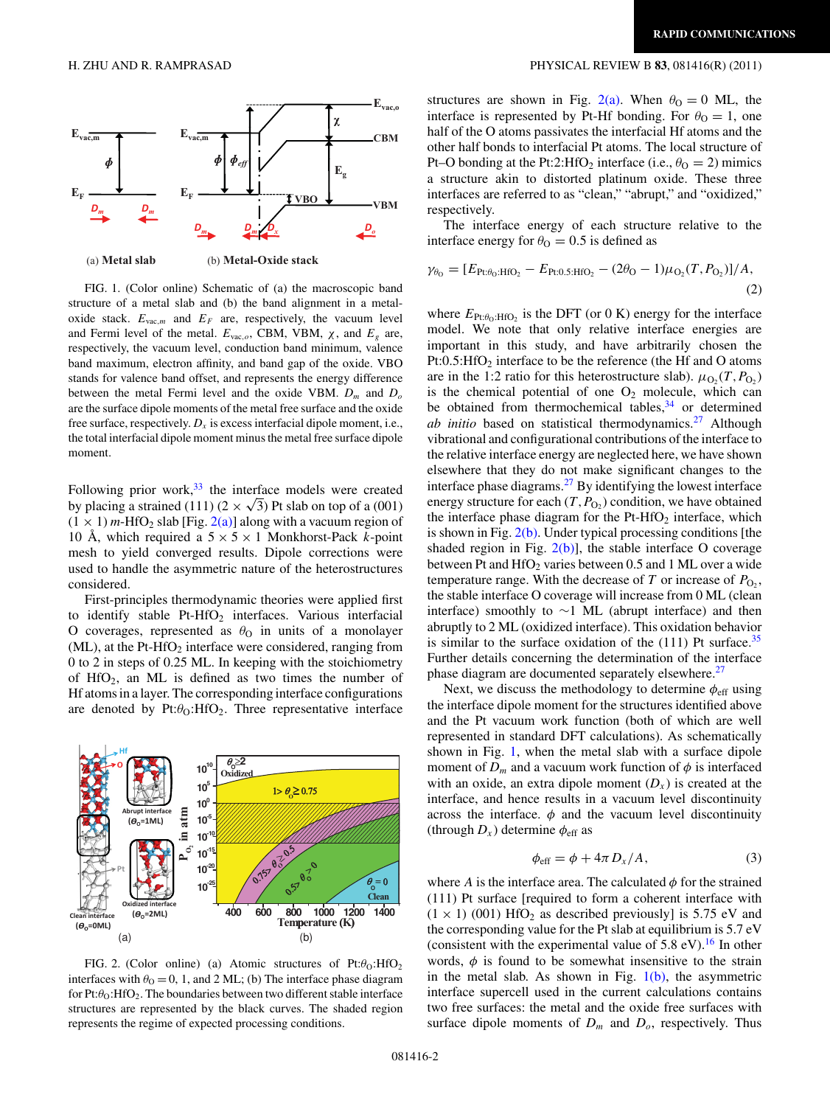

FIG. 1. (Color online) Schematic of (a) the macroscopic band structure of a metal slab and (b) the band alignment in a metaloxide stack.  $E_{\text{vac},m}$  and  $E_F$  are, respectively, the vacuum level and Fermi level of the metal.  $E_{\text{vac},o}$ , CBM, VBM,  $\chi$ , and  $E_g$  are, respectively, the vacuum level, conduction band minimum, valence band maximum, electron affinity, and band gap of the oxide. VBO stands for valence band offset, and represents the energy difference between the metal Fermi level and the oxide VBM. *D<sup>m</sup>* and *D<sup>o</sup>* are the surface dipole moments of the metal free surface and the oxide free surface, respectively.  $D_x$  is excess interfacial dipole moment, i.e., the total interfacial dipole moment minus the metal free surface dipole moment.

Following prior work, $33$  the interface models were created by placing a strained (111) ( $2 \times \sqrt{3}$ ) Pt slab on top of a (001)  $(1 \times 1)$  *m*-HfO<sub>2</sub> slab [Fig. 2(a)] along with a vacuum region of 10 Å, which required a  $5 \times 5 \times 1$  Monkhorst-Pack *k*-point mesh to yield converged results. Dipole corrections were used to handle the asymmetric nature of the heterostructures considered.

First-principles thermodynamic theories were applied first to identify stable  $Pt-HfO<sub>2</sub>$  interfaces. Various interfacial O coverages, represented as  $\theta_0$  in units of a monolayer  $(ML)$ , at the Pt-HfO<sub>2</sub> interface were considered, ranging from 0 to 2 in steps of 0.25 ML. In keeping with the stoichiometry of HfO<sub>2</sub>, an ML is defined as two times the number of Hf atoms in a layer. The corresponding interface configurations are denoted by  $Pt:\theta_0:HfO_2$ . Three representative interface



FIG. 2. (Color online) (a) Atomic structures of  $Pt:\theta_0:HfO_2$ interfaces with  $\theta_0 = 0$ , 1, and 2 ML; (b) The interface phase diagram for Pt:θ<sub>O</sub>:HfO<sub>2</sub>. The boundaries between two different stable interface structures are represented by the black curves. The shaded region represents the regime of expected processing conditions.

## <span id="page-1-0"></span>H. ZHU AND R. RAMPRASAD PHYSICAL REVIEW B **83**, 081416(R) (2011)

structures are shown in Fig. 2(a). When  $\theta_0 = 0$  ML, the interface is represented by Pt-Hf bonding. For  $\theta_{\Omega} = 1$ , one half of the O atoms passivates the interfacial Hf atoms and the other half bonds to interfacial Pt atoms. The local structure of Pt–O bonding at the Pt:2:HfO<sub>2</sub> interface (i.e.,  $\theta_{\text{O}} = 2$ ) mimics a structure akin to distorted platinum oxide. These three interfaces are referred to as "clean," "abrupt," and "oxidized," respectively.

The interface energy of each structure relative to the interface energy for  $\theta_{\rm O} = 0.5$  is defined as

$$
\gamma_{\theta_0} = [E_{\text{Pt}:\theta_0:\text{HfO}_2} - E_{\text{Pt}:\text{0.5}:\text{HfO}_2} - (2\theta_0 - 1)\mu_{\text{O}_2}(T, P_{\text{O}_2})]/A, \tag{2}
$$

where  $E_{\text{Pt}:\theta_0:\text{HfO}_2}$  is the DFT (or 0 K) energy for the interface model. We note that only relative interface energies are important in this study, and have arbitrarily chosen the  $Pt:0.5:HfO<sub>2</sub>$  interface to be the reference (the Hf and O atoms are in the 1:2 ratio for this heterostructure slab).  $\mu_{\text{O}_2}(T, P_{\text{O}_2})$ is the chemical potential of one  $O_2$  molecule, which can be obtained from thermochemical tables, $34$  or determined *ab initio* based on statistical thermodynamics.<sup>27</sup> Although vibrational and configurational contributions of the interface to the relative interface energy are neglected here, we have shown elsewhere that they do not make significant changes to the interface phase diagrams[.27](#page-3-0) By identifying the lowest interface energy structure for each  $(T, P_{O_2})$  condition, we have obtained the interface phase diagram for the  $Pt-HfO<sub>2</sub>$  interface, which is shown in Fig.  $2(b)$ . Under typical processing conditions [the shaded region in Fig.  $2(b)$ ], the stable interface O coverage between Pt and  $HfO<sub>2</sub>$  varies between 0.5 and 1 ML over a wide temperature range. With the decrease of  $T$  or increase of  $P_{\text{O}_2}$ , the stable interface O coverage will increase from 0 ML (clean interface) smoothly to ∼1 ML (abrupt interface) and then abruptly to 2 ML (oxidized interface). This oxidation behavior is similar to the surface oxidation of the  $(111)$  Pt surface.<sup>35</sup> Further details concerning the determination of the interface phase diagram are documented separately elsewhere. $27$ 

Next, we discuss the methodology to determine  $\phi_{\text{eff}}$  using the interface dipole moment for the structures identified above and the Pt vacuum work function (both of which are well represented in standard DFT calculations). As schematically shown in Fig. 1, when the metal slab with a surface dipole moment of  $D_m$  and a vacuum work function of  $\phi$  is interfaced with an oxide, an extra dipole moment  $(D_x)$  is created at the interface, and hence results in a vacuum level discontinuity across the interface.  $\phi$  and the vacuum level discontinuity (through  $D_x$ ) determine  $\phi_{\text{eff}}$  as

$$
\phi_{\rm eff} = \phi + 4\pi D_x / A, \qquad (3)
$$

where *A* is the interface area. The calculated  $\phi$  for the strained (111) Pt surface [required to form a coherent interface with  $(1 \times 1)$  (001) HfO<sub>2</sub> as described previously] is 5.75 eV and the corresponding value for the Pt slab at equilibrium is 5.7 eV (consistent with the experimental value of  $5.8 \text{ eV}$ ).<sup>[16](#page-3-0)</sup> In other words,  $\phi$  is found to be somewhat insensitive to the strain in the metal slab. As shown in Fig.  $1(b)$ , the asymmetric interface supercell used in the current calculations contains two free surfaces: the metal and the oxide free surfaces with surface dipole moments of  $D_m$  and  $D_o$ , respectively. Thus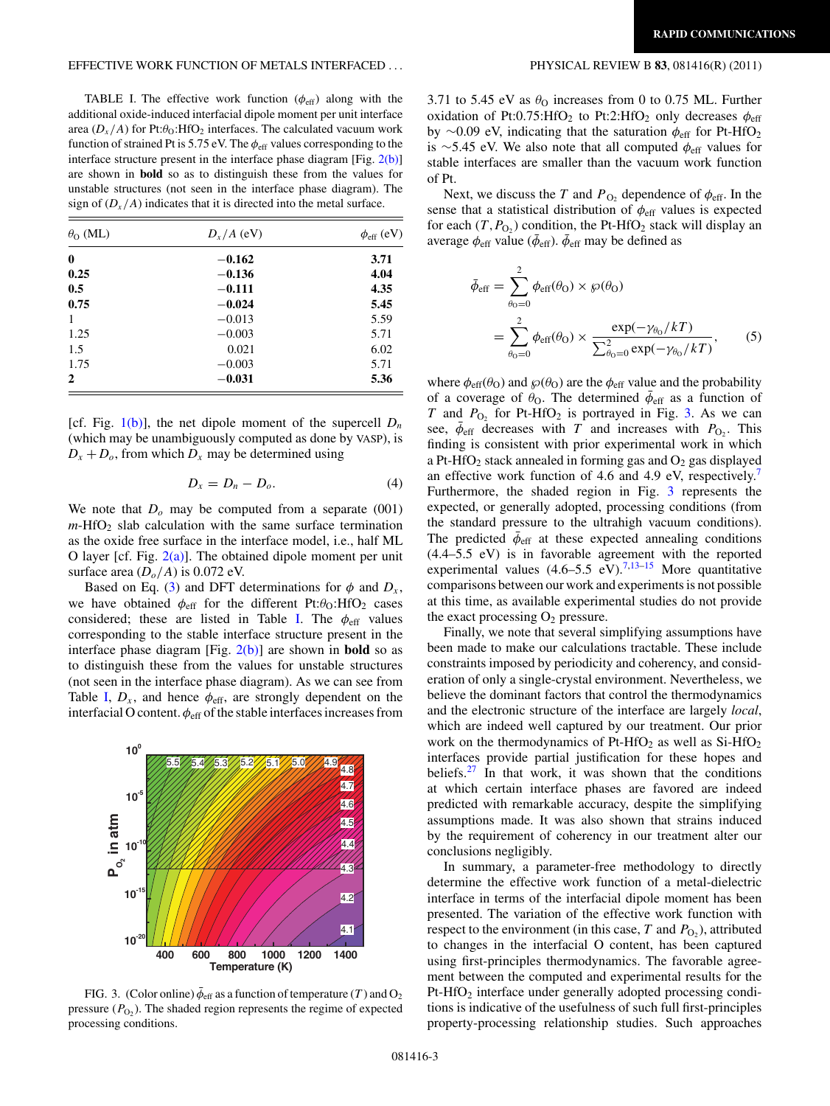## EFFECTIVE WORK FUNCTION OF METALS INTERFACED *...* PHYSICAL REVIEW B **83**, 081416(R) (2011)

TABLE I. The effective work function  $(\phi_{\text{eff}})$  along with the additional oxide-induced interfacial dipole moment per unit interface area  $(D_x/A)$  for Pt: $\theta_0$ :HfO<sub>2</sub> interfaces. The calculated vacuum work function of strained Pt is 5.75 eV. The  $\phi_{\text{eff}}$  values corresponding to the interface structure present in the interface phase diagram [Fig. [2\(b\)\]](#page-1-0) are shown in **bold** so as to distinguish these from the values for unstable structures (not seen in the interface phase diagram). The sign of  $(D_x/A)$  indicates that it is directed into the metal surface.

| $\theta_{\rm O}$ (ML) | $D_x/A$ (eV) | $\phi_{\rm eff}$ (eV) |
|-----------------------|--------------|-----------------------|
| $\mathbf{0}$          | $-0.162$     | 3.71                  |
| 0.25                  | $-0.136$     | 4.04                  |
| 0.5                   | $-0.111$     | 4.35                  |
| 0.75                  | $-0.024$     | 5.45                  |
| 1                     | $-0.013$     | 5.59                  |
| 1.25                  | $-0.003$     | 5.71                  |
| 1.5                   | 0.021        | 6.02                  |
| 1.75                  | $-0.003$     | 5.71                  |
| 2                     | $-0.031$     | 5.36                  |

[cf. Fig. [1\(b\)\]](#page-1-0), the net dipole moment of the supercell  $D_n$ (which may be unambiguously computed as done by VASP), is  $D_x + D_o$ , from which  $D_x$  may be determined using

$$
D_x = D_n - D_o. \tag{4}
$$

We note that  $D<sub>o</sub>$  may be computed from a separate (001)  $m$ -HfO<sub>2</sub> slab calculation with the same surface termination as the oxide free surface in the interface model, i.e., half ML O layer [cf. Fig.  $2(a)$ ]. The obtained dipole moment per unit surface area (*Do/A*) is 0.072 eV.

Based on Eq. [\(3\)](#page-1-0) and DFT determinations for  $\phi$  and  $D_x$ , we have obtained  $\phi_{\text{eff}}$  for the different Pt: $\theta_{\text{O}}$ :HfO<sub>2</sub> cases considered; these are listed in Table I. The  $\phi_{\text{eff}}$  values corresponding to the stable interface structure present in the interface phase diagram [Fig. [2\(b\)\]](#page-1-0) are shown in **bold** so as to distinguish these from the values for unstable structures (not seen in the interface phase diagram). As we can see from Table I,  $D_x$ , and hence  $\phi_{\text{eff}}$ , are strongly dependent on the interfacial O content.  $\phi_{\text{eff}}$  of the stable interfaces increases from



FIG. 3. (Color online)  $\bar{\phi}_{\text{eff}}$  as a function of temperature (*T*) and O<sub>2</sub> pressure  $(P<sub>O<sub>2</sub></sub>)$ . The shaded region represents the regime of expected processing conditions.

3.71 to 5.45 eV as  $\theta_0$  increases from 0 to 0.75 ML. Further oxidation of Pt:0.75:HfO<sub>2</sub> to Pt:2:HfO<sub>2</sub> only decreases  $\phi_{\text{eff}}$ by ∼0.09 eV, indicating that the saturation  $\phi$ <sub>eff</sub> for Pt-HfO<sub>2</sub> is ∼5.45 eV. We also note that all computed *φ*eff values for stable interfaces are smaller than the vacuum work function of Pt.

Next, we discuss the *T* and  $P_{\text{O}_2}$  dependence of  $\phi_{\text{eff}}$ . In the sense that a statistical distribution of  $\phi_{\text{eff}}$  values is expected for each  $(T, P<sub>O<sub>2</sub></sub>)$  condition, the Pt-HfO<sub>2</sub> stack will display an average  $\phi_{\text{eff}}$  value ( $\bar{\phi}_{\text{eff}}$ ).  $\bar{\phi}_{\text{eff}}$  may be defined as

$$
\bar{\phi}_{\text{eff}} = \sum_{\theta_0 = 0}^{2} \phi_{\text{eff}}(\theta_0) \times \wp(\theta_0)
$$

$$
= \sum_{\theta_0 = 0}^{2} \phi_{\text{eff}}(\theta_0) \times \frac{\exp(-\gamma_{\theta_0}/kT)}{\sum_{\theta_0 = 0}^{2} \exp(-\gamma_{\theta_0}/kT)}, \quad (5)
$$

where  $\phi_{\text{eff}}(\theta_0)$  and  $\wp(\theta_0)$  are the  $\phi_{\text{eff}}$  value and the probability of a coverage of  $\theta_{\text{O}}$ . The determined  $\bar{\phi}_{\text{eff}}$  as a function of *T* and  $P_{O_2}$  for Pt-HfO<sub>2</sub> is portrayed in Fig. 3. As we can see,  $\bar{\phi}_{eff}$  decreases with *T* and increases with *P*<sub>O2</sub>. This finding is consistent with prior experimental work in which a Pt-HfO<sub>2</sub> stack annealed in forming gas and  $O_2$  gas displayed an effective work function of 4.6 and 4.9 eV, respectively.<sup>[7](#page-3-0)</sup> Furthermore, the shaded region in Fig. 3 represents the expected, or generally adopted, processing conditions (from the standard pressure to the ultrahigh vacuum conditions). The predicted  $\bar{\phi}_{\text{eff}}$  at these expected annealing conditions (4.4–5.5 eV) is in favorable agreement with the reported experimental values  $(4.6-5.5 \text{ eV})$ .<sup>7,13-15</sup> More quantitative comparisons between our work and experiments is not possible at this time, as available experimental studies do not provide the exact processing  $O_2$  pressure.

Finally, we note that several simplifying assumptions have been made to make our calculations tractable. These include constraints imposed by periodicity and coherency, and consideration of only a single-crystal environment. Nevertheless, we believe the dominant factors that control the thermodynamics and the electronic structure of the interface are largely *local*, which are indeed well captured by our treatment. Our prior work on the thermodynamics of Pt-HfO<sub>2</sub> as well as  $Si$ -HfO<sub>2</sub> interfaces provide partial justification for these hopes and beliefs.<sup>27</sup> In that work, it was shown that the conditions at which certain interface phases are favored are indeed predicted with remarkable accuracy, despite the simplifying assumptions made. It was also shown that strains induced by the requirement of coherency in our treatment alter our conclusions negligibly.

In summary, a parameter-free methodology to directly determine the effective work function of a metal-dielectric interface in terms of the interfacial dipole moment has been presented. The variation of the effective work function with respect to the environment (in this case,  $T$  and  $P_{\text{O}_2}$ ), attributed to changes in the interfacial O content, has been captured using first-principles thermodynamics. The favorable agreement between the computed and experimental results for the Pt-HfO<sub>2</sub> interface under generally adopted processing conditions is indicative of the usefulness of such full first-principles property-processing relationship studies. Such approaches